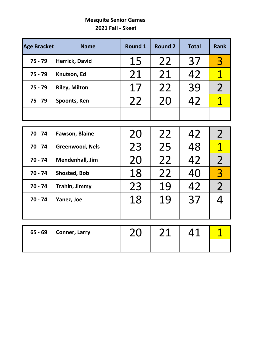#### **Mesquite Senior Games 2021 Fall - Skeet**

| <b>Age Bracket</b> | <b>Name</b>            | <b>Round 1</b> | <b>Round 2</b> | <b>Total</b> | <b>Rank</b>             |
|--------------------|------------------------|----------------|----------------|--------------|-------------------------|
| $75 - 79$          | <b>Herrick, David</b>  | 15             | 22             | 37           | $\overline{3}$          |
| $75 - 79$          | Knutson, Ed            | 21             | 21             | 42           | $\mathbf 1$             |
| $75 - 79$          | <b>Riley, Milton</b>   | 17             | 22             | 39           | $\overline{2}$          |
| $75 - 79$          | Spoonts, Ken           | 22             | 20             | 42           | $\overline{1}$          |
|                    |                        |                |                |              |                         |
|                    |                        |                |                |              |                         |
| $70 - 74$          | <b>Fawson, Blaine</b>  | 20             | 22             | 42           | $\overline{2}$          |
| $70 - 74$          | <b>Greenwood, Nels</b> | 23             | 25             | 48           | $\overline{\mathbf{1}}$ |
| $70 - 74$          | Mendenhall, Jim        | 20             | 22             | 42           | $\overline{2}$          |
| $70 - 74$          | Shosted, Bob           | 18             | 22             | 40           | $\overline{3}$          |
| $70 - 74$          | Trahin, Jimmy          | 23             | 19             | 42           | $\overline{2}$          |
| $70 - 74$          | Yanez, Joe             | 18             | 19             | 37           | 4                       |
|                    |                        |                |                |              |                         |
|                    |                        |                |                |              |                         |
| $65 - 69$          | <b>Conner, Larry</b>   | 20             | 21             | 41           | $\mathbf 1$             |
|                    |                        |                |                |              |                         |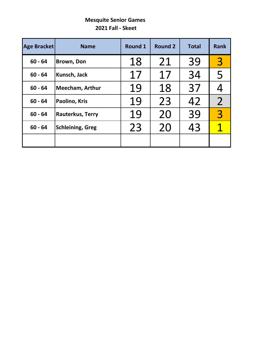#### **Mesquite Senior Games 2021 Fall - Skeet**

| <b>Age Bracket</b> | <b>Name</b>             | Round 1 | <b>Round 2</b> | <b>Total</b> | <b>Rank</b>    |
|--------------------|-------------------------|---------|----------------|--------------|----------------|
| $60 - 64$          | Brown, Don              | 18      | 21             | 39           | $\overline{3}$ |
| $60 - 64$          | Kunsch, Jack            | 17      | 17             | 34           | 5              |
| $60 - 64$          | Meecham, Arthur         | 19      | 18             | 37           |                |
| $60 - 64$          | Paolino, Kris           | 19      | 23             | 42           | $\overline{2}$ |
| $60 - 64$          | <b>Rauterkus, Terry</b> | 19      | 20             | 39           | $\overline{3}$ |
| $60 - 64$          | <b>Schleining, Greg</b> | 23      | 20             | 43           |                |
|                    |                         |         |                |              |                |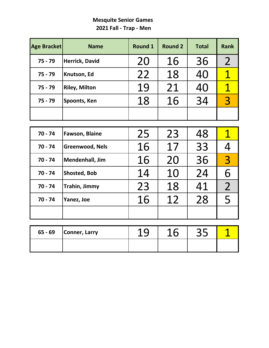#### **Mesquite Senior Games 2021 Fall - Trap - Men**

| <b>Age Bracket</b> | <b>Name</b>            | <b>Round 1</b> | <b>Round 2</b> | <b>Total</b> | <b>Rank</b>    |
|--------------------|------------------------|----------------|----------------|--------------|----------------|
| $75 - 79$          | <b>Herrick, David</b>  | 20             | 16             | 36           | $\overline{2}$ |
| $75 - 79$          | Knutson, Ed            | 22             | 18             | 40           | 1              |
| $75 - 79$          | <b>Riley, Milton</b>   | 19             | 21             | 40           | 1              |
| $75 - 79$          | Spoonts, Ken           | 18             | 16             | 34           | 3              |
|                    |                        |                |                |              |                |
|                    |                        |                |                |              |                |
| $70 - 74$          | <b>Fawson, Blaine</b>  | 25             | 23             | 48           | 1              |
| $70 - 74$          | <b>Greenwood, Nels</b> | 16             | 17             | 33           |                |
| 70 - 74            | <b>Mendenhall, Jim</b> | 16             | 20             | 36           | $\overline{3}$ |

| $65 - 69$ | Conner, Larry |  | ーー |  |
|-----------|---------------|--|----|--|
|           |               |  |    |  |

**70 - 74 Shosted, Bob** 14 10 24 6

**70 - 74 Trahin, Jimmy** 23 18 41 2<br> **70 - 74 Yanez, Joe** 16 12 28 5 70 - 74 **Yanez, Joe 16 12** 28 5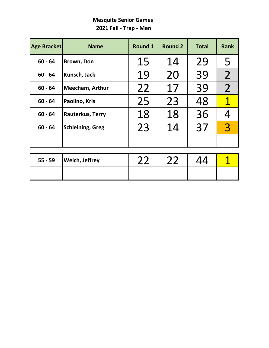# **Mesquite Senior Games 2021 Fall - Trap - Men**

| <b>Age Bracket</b> | <b>Name</b>             | <b>Round 1</b> | <b>Round 2</b> | <b>Total</b> | <b>Rank</b>    |
|--------------------|-------------------------|----------------|----------------|--------------|----------------|
| $60 - 64$          | <b>Brown, Don</b>       | 15             | 14             | 29           | 5              |
| $60 - 64$          | Kunsch, Jack            | 19             | 20             | 39           | $\overline{2}$ |
| $60 - 64$          | <b>Meecham, Arthur</b>  | 22             | 17             | 39           | $\overline{2}$ |
| $60 - 64$          | Paolino, Kris           | 25             | 23             | 48           | 1              |
| $60 - 64$          | <b>Rauterkus, Terry</b> | 18             | 18             | 36           |                |
| $60 - 64$          | <b>Schleining, Greg</b> | 23             | 14             | 37           | $\mathbf{R}$   |
|                    |                         |                |                |              |                |

| $55 - 59$ | <b>Welch, Jeffrey</b> |  |  |
|-----------|-----------------------|--|--|
|           |                       |  |  |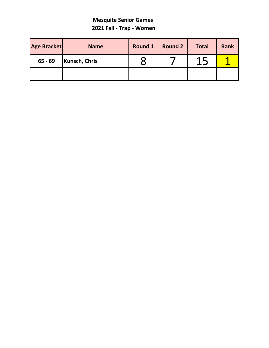#### **Mesquite Senior Games 2021 Fall - Trap - Women**

| Age Bracket | <b>Name</b>          | Round 1 | <b>Round 2</b> | <b>Total</b> | <b>Rank</b> |
|-------------|----------------------|---------|----------------|--------------|-------------|
| $65 - 69$   | <b>Kunsch, Chris</b> |         |                | Л            |             |
|             |                      |         |                |              |             |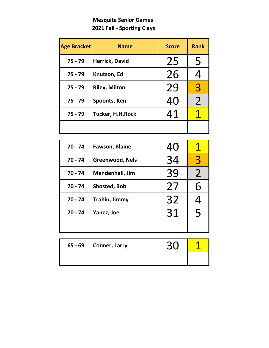# **Mesquite Senior Games 2021 Fall - Sporting Clays**

| <b>Age Bracket</b> | <b>Name</b>             | <b>Score</b> | <b>Rank</b>   |
|--------------------|-------------------------|--------------|---------------|
| $75 - 79$          | Herrick, David          | 25           | 5             |
| $75 - 79$          | Knutson, Ed             | 26           | <u>Д</u>      |
| $75 - 79$          | <b>Riley, Milton</b>    | 29           | 3             |
| $75 - 79$          | Spoonts, Ken            | 40           | $\mathcal{P}$ |
| $75 - 79$          | <b>Tucker, H.H.Rock</b> | 41           |               |
|                    |                         |              |               |

| $70 - 74$ | <b>Fawson, Blaine</b>  | 40 |                |
|-----------|------------------------|----|----------------|
| $70 - 74$ | Greenwood, Nels        | 34 | 3              |
| $70 - 74$ | <b>Mendenhall, Jim</b> | 39 | $\overline{2}$ |
| $70 - 74$ | <b>Shosted, Bob</b>    | 27 | 6              |
| $70 - 74$ | Trahin, Jimmy          | 32 |                |
| $70 - 74$ | Yanez, Joe             | 31 | 5              |
|           |                        |    |                |

| 65 - 69 | Conner, Larry |  |
|---------|---------------|--|
|         |               |  |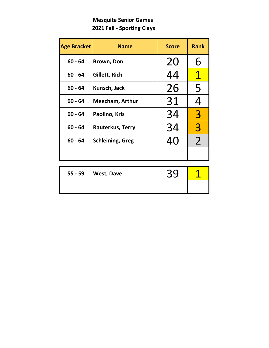# **Mesquite Senior Games 2021 Fall - Sporting Clays**

| <b>Age Bracket</b> | <b>Name</b>             | <b>Score</b> | <b>Rank</b>    |
|--------------------|-------------------------|--------------|----------------|
| $60 - 64$          | <b>Brown, Don</b>       | 20           | 6              |
| $60 - 64$          | Gillett, Rich           | 44           | $\mathbf T$    |
| $60 - 64$          | Kunsch, Jack            | 26           | 5              |
| $60 - 64$          | <b>Meecham, Arthur</b>  | 31           | 4              |
| $60 - 64$          | Paolino, Kris           | 34           | $\overline{3}$ |
| $60 - 64$          | Rauterkus, Terry        | 34           | $\overline{3}$ |
| $60 - 64$          | <b>Schleining, Greg</b> | 40           | $\overline{2}$ |
|                    |                         |              |                |

| $55 - 59$ | <b>West, Dave</b> | くい |  |
|-----------|-------------------|----|--|
|           |                   |    |  |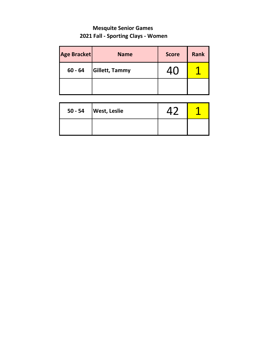# **Mesquite Senior Games 2021 Fall - Sporting Clays - Women**

| Age Bracket | <b>Name</b>           | <b>Score</b> | <b>Rank</b> |
|-------------|-----------------------|--------------|-------------|
| $60 - 64$   | <b>Gillett, Tammy</b> | /I ( 1       |             |
|             |                       |              |             |

| 50 - 54 | <b>West, Leslie</b> |  |
|---------|---------------------|--|
|         |                     |  |